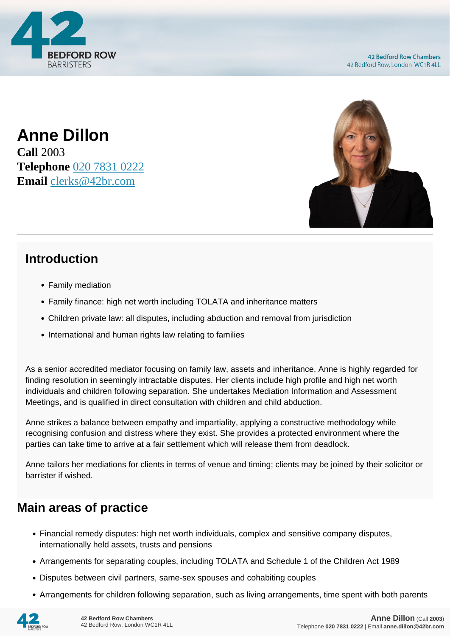

**Anne Dillon Call** 2003 **Telephone** [020 7831 0222](https://pdf.codeshore.co/_42br/tel:020 7831 0222) **Email** [clerks@42br.com](mailto:clerks@42br.com)



# **Introduction**

- Family mediation
- Family finance: high net worth including TOLATA and inheritance matters
- Children private law: all disputes, including abduction and removal from jurisdiction
- International and human rights law relating to families

As a senior accredited mediator focusing on family law, assets and inheritance, Anne is highly regarded for finding resolution in seemingly intractable disputes. Her clients include high profile and high net worth individuals and children following separation. She undertakes Mediation Information and Assessment Meetings, and is qualified in direct consultation with children and child abduction.

Anne strikes a balance between empathy and impartiality, applying a constructive methodology while recognising confusion and distress where they exist. She provides a protected environment where the parties can take time to arrive at a fair settlement which will release them from deadlock.

Anne tailors her mediations for clients in terms of venue and timing; clients may be joined by their solicitor or barrister if wished.

## **Main areas of practice**

- Financial remedy disputes: high net worth individuals, complex and sensitive company disputes, internationally held assets, trusts and pensions
- Arrangements for separating couples, including TOLATA and Schedule 1 of the Children Act 1989
- Disputes between civil partners, same-sex spouses and cohabiting couples
- Arrangements for children following separation, such as living arrangements, time spent with both parents

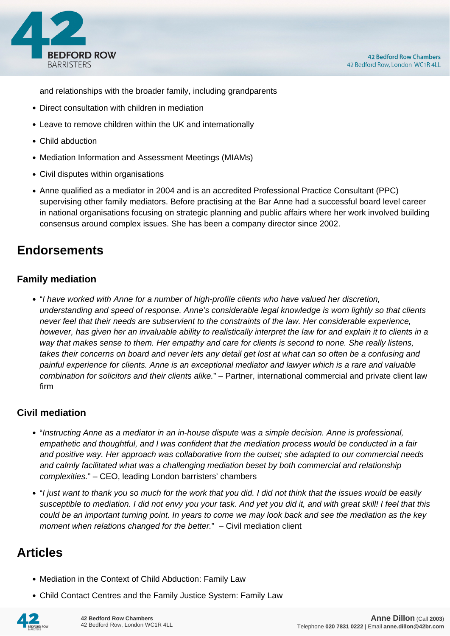

and relationships with the broader family, including grandparents

- Direct consultation with children in mediation
- Leave to remove children within the UK and internationally
- Child abduction
- Mediation Information and Assessment Meetings (MIAMs)
- Civil disputes within organisations
- Anne qualified as a mediator in 2004 and is an accredited Professional Practice Consultant (PPC) supervising other family mediators. Before practising at the Bar Anne had a successful board level career in national organisations focusing on strategic planning and public affairs where her work involved building consensus around complex issues. She has been a company director since 2002.

## **Endorsements**

### **Family mediation**

"I have worked with Anne for a number of high-profile clients who have valued her discretion, understanding and speed of response. Anne's considerable legal knowledge is worn lightly so that clients never feel that their needs are subservient to the constraints of the law. Her considerable experience, however, has given her an invaluable ability to realistically interpret the law for and explain it to clients in a way that makes sense to them. Her empathy and care for clients is second to none. She really listens, takes their concerns on board and never lets any detail get lost at what can so often be a confusing and painful experience for clients. Anne is an exceptional mediator and lawyer which is a rare and valuable combination for solicitors and their clients alike." – Partner, international commercial and private client law firm

### **Civil mediation**

- "Instructing Anne as a mediator in an in-house dispute was a simple decision. Anne is professional, empathetic and thoughtful, and I was confident that the mediation process would be conducted in a fair and positive way. Her approach was collaborative from the outset; she adapted to our commercial needs and calmly facilitated what was a challenging mediation beset by both commercial and relationship complexities." – CEO, leading London barristers' chambers
- "I just want to thank you so much for the work that you did. I did not think that the issues would be easily susceptible to mediation. I did not envy you your task. And yet you did it, and with great skill! I feel that this could be an important turning point. In years to come we may look back and see the mediation as the key moment when relations changed for the better." - Civil mediation client

## **Articles**

- Mediation in the Context of Child Abduction: Family Law
- Child Contact Centres and the Family Justice System: Family Law